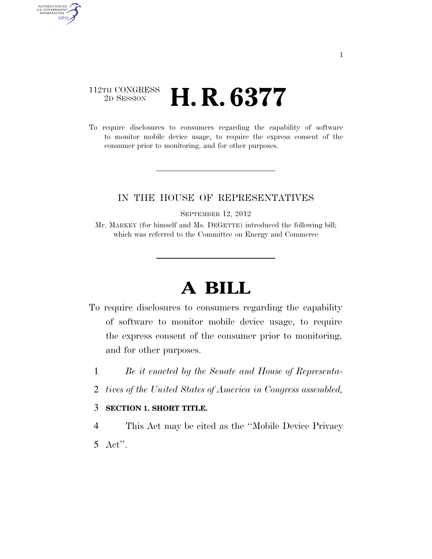# $\begin{array}{c} \textbf{112TH CONGRESS} \\ \textbf{2D} \textbf{Session} \end{array}$ 2D SESSION **H. R. 6377**

AUTHENTICATED<br>U.S. GOVERNMENT<br>INFORMATION GPO

> To require disclosures to consumers regarding the capability of software to monitor mobile device usage, to require the express consent of the consumer prior to monitoring, and for other purposes.

### IN THE HOUSE OF REPRESENTATIVES

SEPTEMBER 12, 2012

Mr. MARKEY (for himself and Ms. DEGETTE) introduced the following bill; which was referred to the Committee on Energy and Commerce

# **A BILL**

- To require disclosures to consumers regarding the capability of software to monitor mobile device usage, to require the express consent of the consumer prior to monitoring, and for other purposes.
	- 1 *Be it enacted by the Senate and House of Representa-*
	- 2 *tives of the United States of America in Congress assembled,*

### 3 **SECTION 1. SHORT TITLE.**

4 This Act may be cited as the ''Mobile Device Privacy 5 Act''.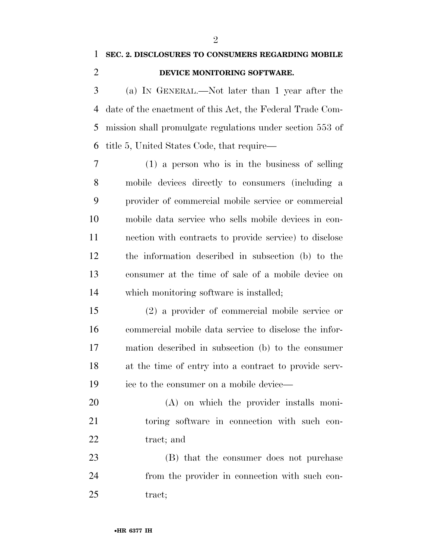## **DEVICE MONITORING SOFTWARE.**

 (a) IN GENERAL.—Not later than 1 year after the date of the enactment of this Act, the Federal Trade Com- mission shall promulgate regulations under section 553 of title 5, United States Code, that require—

 (1) a person who is in the business of selling mobile devices directly to consumers (including a provider of commercial mobile service or commercial mobile data service who sells mobile devices in con- nection with contracts to provide service) to disclose the information described in subsection (b) to the consumer at the time of sale of a mobile device on which monitoring software is installed;

 (2) a provider of commercial mobile service or commercial mobile data service to disclose the infor- mation described in subsection (b) to the consumer at the time of entry into a contract to provide serv-ice to the consumer on a mobile device—

 (A) on which the provider installs moni- toring software in connection with such con-22 tract; and

 (B) that the consumer does not purchase from the provider in connection with such con-25 tract;

 $\mathfrak{D}$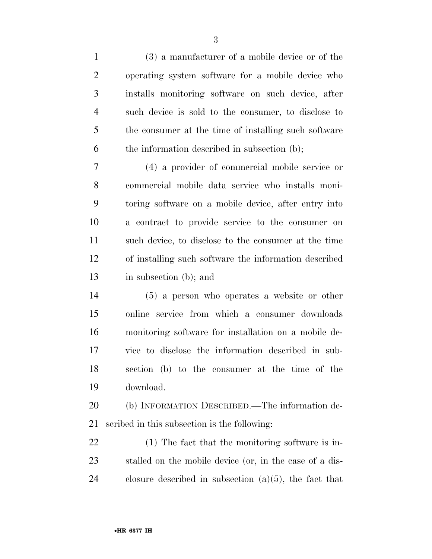(3) a manufacturer of a mobile device or of the operating system software for a mobile device who installs monitoring software on such device, after such device is sold to the consumer, to disclose to the consumer at the time of installing such software the information described in subsection (b);

 (4) a provider of commercial mobile service or commercial mobile data service who installs moni- toring software on a mobile device, after entry into a contract to provide service to the consumer on such device, to disclose to the consumer at the time of installing such software the information described in subsection (b); and

 (5) a person who operates a website or other online service from which a consumer downloads monitoring software for installation on a mobile de- vice to disclose the information described in sub- section (b) to the consumer at the time of the download.

 (b) INFORMATION DESCRIBED.—The information de-scribed in this subsection is the following:

 (1) The fact that the monitoring software is in- stalled on the mobile device (or, in the case of a dis-24 closure described in subsection  $(a)(5)$ , the fact that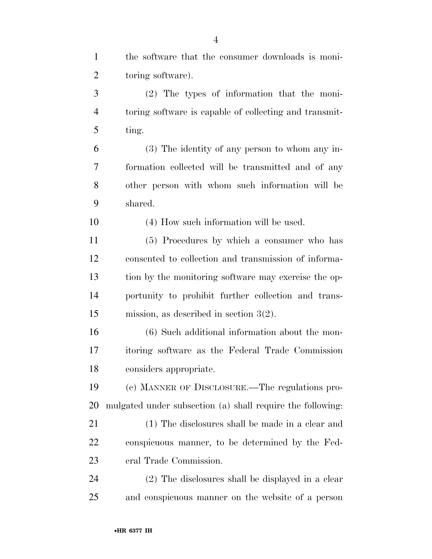| $\mathbf{1}$   | the software that the consumer downloads is moni-          |
|----------------|------------------------------------------------------------|
| $\overline{2}$ | toring software).                                          |
| 3              | $(2)$ The types of information that the moni-              |
| 4              | toring software is capable of collecting and transmit-     |
| 5              | ting.                                                      |
| 6              | (3) The identity of any person to whom any in-             |
| 7              | formation collected will be transmitted and of any         |
| 8              | other person with whom such information will be            |
| 9              | shared.                                                    |
| 10             | (4) How such information will be used.                     |
| 11             | (5) Procedures by which a consumer who has                 |
| 12             | consented to collection and transmission of informa-       |
| 13             | tion by the monitoring software may exercise the op-       |
| 14             | portunity to prohibit further collection and trans-        |
| 15             | mission, as described in section $3(2)$ .                  |
| 16             | (6) Such additional information about the mon-             |
| 17             | itoring software as the Federal Trade Commission           |
| 18             | considers appropriate.                                     |
| 19             | (c) MANNER OF DISCLOSURE.—The regulations pro-             |
| <b>20</b>      | mulgated under subsection (a) shall require the following: |
| 21             | (1) The disclosures shall be made in a clear and           |
| 22             | conspicuous manner, to be determined by the Fed-           |
| 23             | eral Trade Commission.                                     |
| 24             | (2) The disclosures shall be displayed in a clear          |
| 25             | and conspicuous manner on the website of a person          |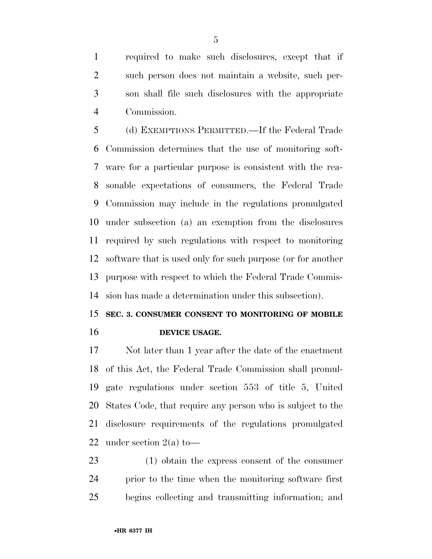required to make such disclosures, except that if such person does not maintain a website, such per- son shall file such disclosures with the appropriate Commission.

 (d) EXEMPTIONS PERMITTED.—If the Federal Trade Commission determines that the use of monitoring soft- ware for a particular purpose is consistent with the rea- sonable expectations of consumers, the Federal Trade Commission may include in the regulations promulgated under subsection (a) an exemption from the disclosures required by such regulations with respect to monitoring software that is used only for such purpose (or for another purpose with respect to which the Federal Trade Commis-sion has made a determination under this subsection).

# **SEC. 3. CONSUMER CONSENT TO MONITORING OF MOBILE DEVICE USAGE.**

 Not later than 1 year after the date of the enactment of this Act, the Federal Trade Commission shall promul- gate regulations under section 553 of title 5, United States Code, that require any person who is subject to the disclosure requirements of the regulations promulgated 22 under section  $2(a)$  to —

 (1) obtain the express consent of the consumer prior to the time when the monitoring software first begins collecting and transmitting information; and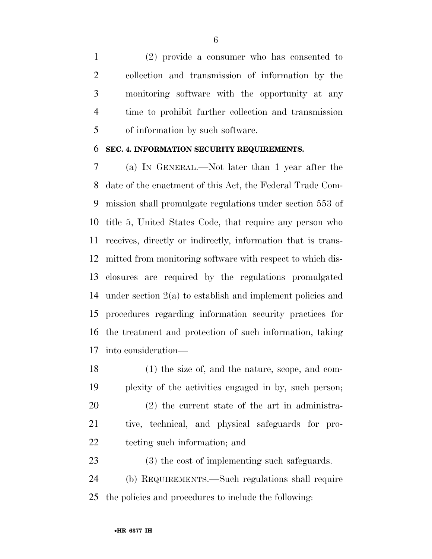(2) provide a consumer who has consented to collection and transmission of information by the monitoring software with the opportunity at any time to prohibit further collection and transmission of information by such software.

#### **SEC. 4. INFORMATION SECURITY REQUIREMENTS.**

 (a) IN GENERAL.—Not later than 1 year after the date of the enactment of this Act, the Federal Trade Com- mission shall promulgate regulations under section 553 of title 5, United States Code, that require any person who receives, directly or indirectly, information that is trans- mitted from monitoring software with respect to which dis- closures are required by the regulations promulgated under section 2(a) to establish and implement policies and procedures regarding information security practices for the treatment and protection of such information, taking into consideration—

 (1) the size of, and the nature, scope, and com- plexity of the activities engaged in by, such person; (2) the current state of the art in administra- tive, technical, and physical safeguards for pro- tecting such information; and (3) the cost of implementing such safeguards.

 (b) REQUIREMENTS.—Such regulations shall require the policies and procedures to include the following: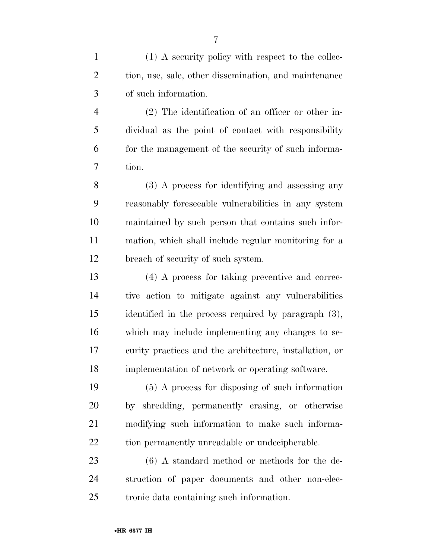(1) A security policy with respect to the collec-2 tion, use, sale, other dissemination, and maintenance of such information.

 (2) The identification of an officer or other in- dividual as the point of contact with responsibility for the management of the security of such informa-tion.

 (3) A process for identifying and assessing any reasonably foreseeable vulnerabilities in any system maintained by such person that contains such infor- mation, which shall include regular monitoring for a breach of security of such system.

 (4) A process for taking preventive and correc- tive action to mitigate against any vulnerabilities identified in the process required by paragraph (3), which may include implementing any changes to se- curity practices and the architecture, installation, or implementation of network or operating software.

 (5) A process for disposing of such information by shredding, permanently erasing, or otherwise modifying such information to make such informa-22 tion permanently unreadable or undecipherable.

 (6) A standard method or methods for the de- struction of paper documents and other non-elec-tronic data containing such information.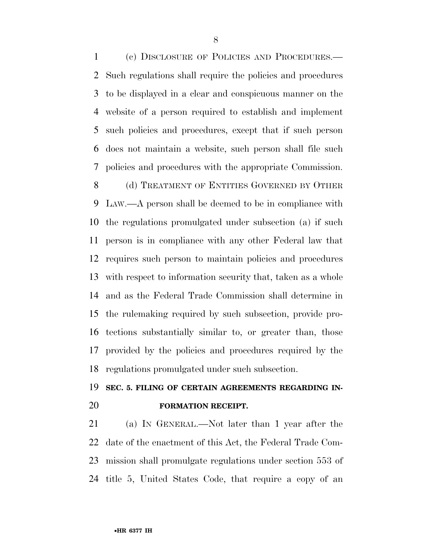(c) DISCLOSURE OF POLICIES AND PROCEDURES.— Such regulations shall require the policies and procedures to be displayed in a clear and conspicuous manner on the website of a person required to establish and implement such policies and procedures, except that if such person does not maintain a website, such person shall file such policies and procedures with the appropriate Commission.

8 (d) TREATMENT OF ENTITIES GOVERNED BY OTHER LAW.—A person shall be deemed to be in compliance with the regulations promulgated under subsection (a) if such person is in compliance with any other Federal law that requires such person to maintain policies and procedures with respect to information security that, taken as a whole and as the Federal Trade Commission shall determine in the rulemaking required by such subsection, provide pro- tections substantially similar to, or greater than, those provided by the policies and procedures required by the regulations promulgated under such subsection.

# **SEC. 5. FILING OF CERTAIN AGREEMENTS REGARDING IN-FORMATION RECEIPT.**

 (a) IN GENERAL.—Not later than 1 year after the date of the enactment of this Act, the Federal Trade Com- mission shall promulgate regulations under section 553 of title 5, United States Code, that require a copy of an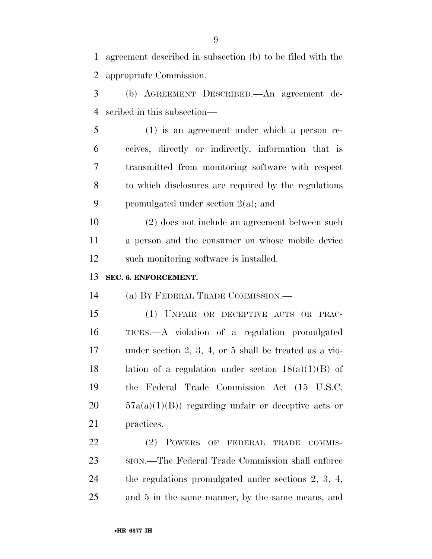agreement described in subsection (b) to be filed with the appropriate Commission.

 (b) AGREEMENT DESCRIBED.—An agreement de-scribed in this subsection—

 (1) is an agreement under which a person re- ceives, directly or indirectly, information that is transmitted from monitoring software with respect to which disclosures are required by the regulations promulgated under section 2(a); and

 (2) does not include an agreement between such a person and the consumer on whose mobile device such monitoring software is installed.

### **SEC. 6. ENFORCEMENT.**

(a) BY FEDERAL TRADE COMMISSION.—

 (1) UNFAIR OR DECEPTIVE ACTS OR PRAC- TICES.—A violation of a regulation promulgated under section 2, 3, 4, or 5 shall be treated as a vio-18 lation of a regulation under section  $18(a)(1)(B)$  of the Federal Trade Commission Act (15 U.S.C.  $20 \qquad 57a(a)(1)(B)$  regarding unfair or deceptive acts or practices.

22 (2) POWERS OF FEDERAL TRADE COMMIS- SION.—The Federal Trade Commission shall enforce the regulations promulgated under sections 2, 3, 4, and 5 in the same manner, by the same means, and

•**HR 6377 IH**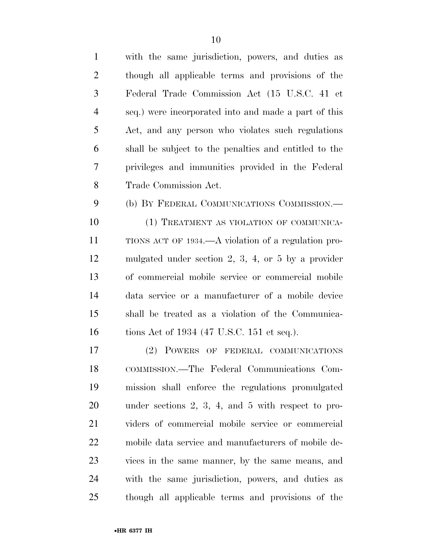| $\mathbf{1}$   | with the same jurisdiction, powers, and duties as      |
|----------------|--------------------------------------------------------|
| $\overline{2}$ | though all applicable terms and provisions of the      |
| 3              | Federal Trade Commission Act (15 U.S.C. 41 et          |
| $\overline{4}$ | seq.) were incorporated into and made a part of this   |
| 5              | Act, and any person who violates such regulations      |
| 6              | shall be subject to the penalties and entitled to the  |
| 7              | privileges and immunities provided in the Federal      |
| 8              | Trade Commission Act.                                  |
| 9              | (b) BY FEDERAL COMMUNICATIONS COMMISSION.—             |
| 10             | (1) TREATMENT AS VIOLATION OF COMMUNICA-               |
| 11             | TIONS ACT OF 1934.—A violation of a regulation pro-    |
| 12             | mulgated under section 2, 3, 4, or 5 by a provider     |
| 13             | of commercial mobile service or commercial mobile      |
| 14             | data service or a manufacturer of a mobile device      |
| 15             | shall be treated as a violation of the Communica-      |
| 16             | tions Act of 1934 (47 U.S.C. 151 et seq.).             |
| 17             | (2) POWERS OF FEDERAL COMMUNICATIONS                   |
| 18             | COMMISSION.—The Federal Communications Com-            |
| 19             | mission shall enforce the regulations promulgated      |
| 20             | under sections $2, 3, 4,$ and $5$ with respect to pro- |
| 21             | viders of commercial mobile service or commercial      |
| 22             | mobile data service and manufacturers of mobile de-    |
| 23             | vices in the same manner, by the same means, and       |
| 24             | with the same jurisdiction, powers, and duties as      |
| 25             | though all applicable terms and provisions of the      |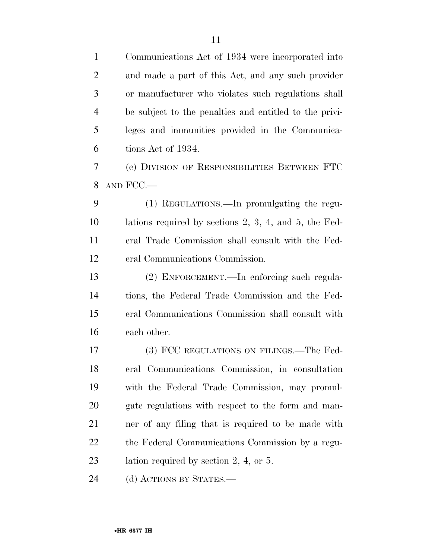Communications Act of 1934 were incorporated into and made a part of this Act, and any such provider or manufacturer who violates such regulations shall be subject to the penalties and entitled to the privi- leges and immunities provided in the Communica- tions Act of 1934. (c) DIVISION OF RESPONSIBILITIES BETWEEN FTC AND FCC.— (1) REGULATIONS.—In promulgating the regu- lations required by sections 2, 3, 4, and 5, the Fed- eral Trade Commission shall consult with the Fed- eral Communications Commission. (2) ENFORCEMENT.—In enforcing such regula- tions, the Federal Trade Commission and the Fed- eral Communications Commission shall consult with each other. 17 (3) FCC REGULATIONS ON FILINGS.—The Fed- eral Communications Commission, in consultation with the Federal Trade Commission, may promul- gate regulations with respect to the form and man- ner of any filing that is required to be made with the Federal Communications Commission by a regu-

23 lation required by section 2, 4, or 5.

24 (d) ACTIONS BY STATES.—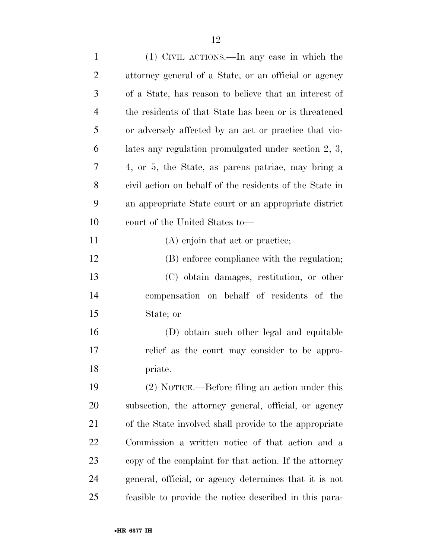| $\mathbf{1}$   | (1) CIVIL ACTIONS.—In any case in which the             |
|----------------|---------------------------------------------------------|
| $\overline{2}$ | attorney general of a State, or an official or agency   |
| 3              | of a State, has reason to believe that an interest of   |
| $\overline{4}$ | the residents of that State has been or is threatened   |
| 5              | or adversely affected by an act or practice that vio-   |
| 6              | lates any regulation promulgated under section $2, 3,$  |
| 7              | 4, or 5, the State, as parens patriae, may bring a      |
| 8              | civil action on behalf of the residents of the State in |
| 9              | an appropriate State court or an appropriate district   |
| 10             | court of the United States to—                          |
| 11             | (A) enjoin that act or practice;                        |
| 12             | (B) enforce compliance with the regulation;             |
| 13             | (C) obtain damages, restitution, or other               |
| 14             | compensation on behalf of residents of the              |
| 15             | State; or                                               |
| 16             | (D) obtain such other legal and equitable               |
| 17             | relief as the court may consider to be appro-           |
| 18             | priate.                                                 |
| 19             | $(2)$ NOTICE.—Before filing an action under this        |
| 20             | subsection, the attorney general, official, or agency   |
| 21             | of the State involved shall provide to the appropriate  |
| 22             | Commission a written notice of that action and a        |
| 23             | copy of the complaint for that action. If the attorney  |
| 24             | general, official, or agency determines that it is not  |
| 25             | feasible to provide the notice described in this para-  |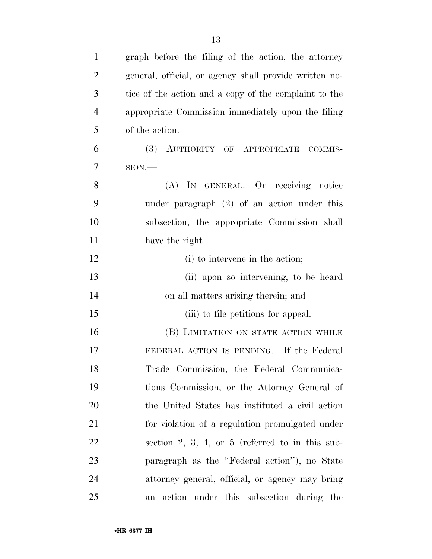| $\mathbf{1}$   | graph before the filing of the action, the attorney    |
|----------------|--------------------------------------------------------|
| $\overline{2}$ | general, official, or agency shall provide written no- |
| 3              | tice of the action and a copy of the complaint to the  |
| $\overline{4}$ | appropriate Commission immediately upon the filing     |
| 5              | of the action.                                         |
| 6              | (3) AUTHORITY OF APPROPRIATE COMMIS-                   |
| 7              | $SION$ .                                               |
| 8              | (A) IN GENERAL.—On receiving notice                    |
| 9              | under paragraph $(2)$ of an action under this          |
| 10             | subsection, the appropriate Commission shall           |
| 11             | have the right—                                        |
| 12             | (i) to intervene in the action;                        |
| 13             | (ii) upon so intervening, to be heard                  |
| 14             | on all matters arising therein; and                    |
| 15             | (iii) to file petitions for appeal.                    |
| 16             | (B) LIMITATION ON STATE ACTION WHILE                   |
| 17             | FEDERAL ACTION IS PENDING.—If the Federal              |
| 18             | Trade Commission, the Federal Communica-               |
| 19             | tions Commission, or the Attorney General of           |
| 20             | the United States has instituted a civil action        |
| 21             | for violation of a regulation promulgated under        |
| 22             | section 2, 3, 4, or 5 (referred to in this sub-        |
| 23             | paragraph as the "Federal action"), no State           |
| 24             | attorney general, official, or agency may bring        |
| 25             | action under this subsection during the<br>an          |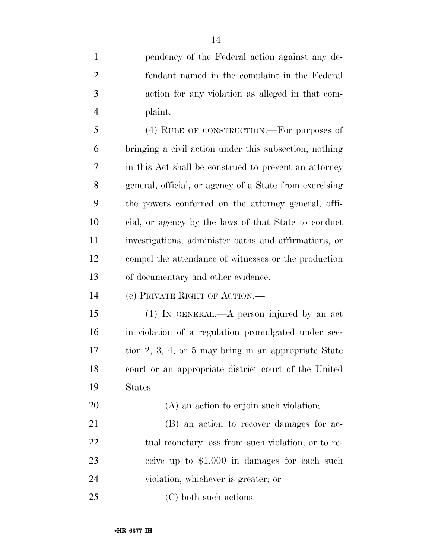pendency of the Federal action against any de- fendant named in the complaint in the Federal action for any violation as alleged in that com-plaint.

 (4) RULE OF CONSTRUCTION.—For purposes of bringing a civil action under this subsection, nothing in this Act shall be construed to prevent an attorney general, official, or agency of a State from exercising the powers conferred on the attorney general, offi- cial, or agency by the laws of that State to conduct investigations, administer oaths and affirmations, or compel the attendance of witnesses or the production of documentary and other evidence.

(e) PRIVATE RIGHT OF ACTION.—

 (1) IN GENERAL.—A person injured by an act in violation of a regulation promulgated under sec- tion 2, 3, 4, or 5 may bring in an appropriate State court or an appropriate district court of the United States—

 (A) an action to enjoin such violation; (B) an action to recover damages for ac-22 tual monetary loss from such violation, or to re- ceive up to \$1,000 in damages for each such violation, whichever is greater; or

(C) both such actions.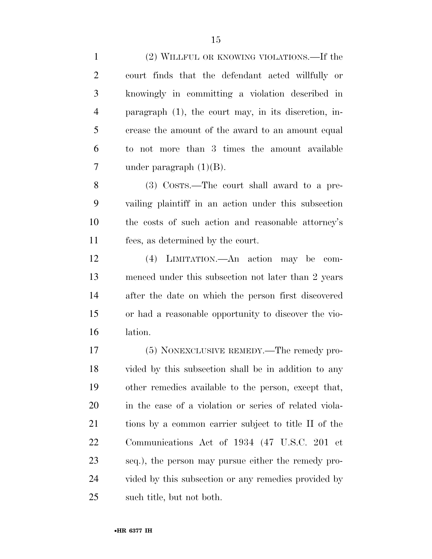(2) WILLFUL OR KNOWING VIOLATIONS.—If the court finds that the defendant acted willfully or knowingly in committing a violation described in paragraph (1), the court may, in its discretion, in- crease the amount of the award to an amount equal to not more than 3 times the amount available under paragraph (1)(B). (3) COSTS.—The court shall award to a pre- vailing plaintiff in an action under this subsection the costs of such action and reasonable attorney's fees, as determined by the court. (4) LIMITATION.—An action may be com- menced under this subsection not later than 2 years after the date on which the person first discovered or had a reasonable opportunity to discover the vio- lation. (5) NONEXCLUSIVE REMEDY.—The remedy pro- vided by this subsection shall be in addition to any other remedies available to the person, except that, in the case of a violation or series of related viola- tions by a common carrier subject to title II of the Communications Act of 1934 (47 U.S.C. 201 et seq.), the person may pursue either the remedy pro- vided by this subsection or any remedies provided by such title, but not both.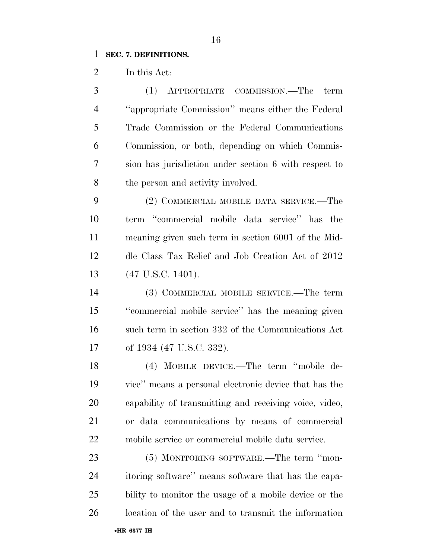#### **SEC. 7. DEFINITIONS.**

In this Act:

 (1) APPROPRIATE COMMISSION.—The term ''appropriate Commission'' means either the Federal Trade Commission or the Federal Communications Commission, or both, depending on which Commis- sion has jurisdiction under section 6 with respect to 8 the person and activity involved.

 (2) COMMERCIAL MOBILE DATA SERVICE.—The term ''commercial mobile data service'' has the meaning given such term in section 6001 of the Mid- dle Class Tax Relief and Job Creation Act of 2012 (47 U.S.C. 1401).

 (3) COMMERCIAL MOBILE SERVICE.—The term ''commercial mobile service'' has the meaning given such term in section 332 of the Communications Act of 1934 (47 U.S.C. 332).

 (4) MOBILE DEVICE.—The term ''mobile de- vice'' means a personal electronic device that has the capability of transmitting and receiving voice, video, or data communications by means of commercial mobile service or commercial mobile data service.

23 (5) MONITORING SOFTWARE.—The term "mon- itoring software'' means software that has the capa- bility to monitor the usage of a mobile device or the location of the user and to transmit the information